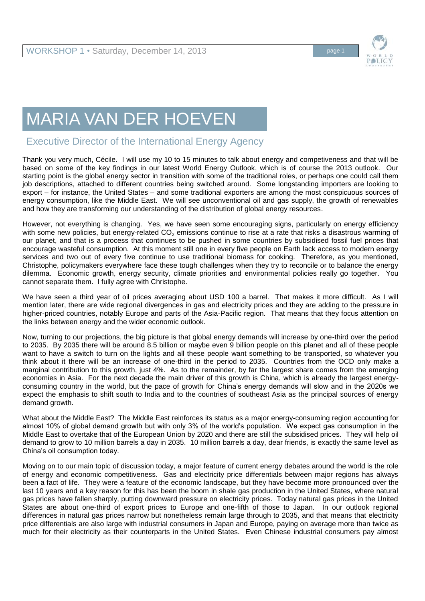

## MARIA VAN DER HOEVEN

## Executive Director of the International Energy Agency

Thank you very much, Cécile. I will use my 10 to 15 minutes to talk about energy and competiveness and that will be based on some of the key findings in our latest World Energy Outlook, which is of course the 2013 outlook. Our starting point is the global energy sector in transition with some of the traditional roles, or perhaps one could call them job descriptions, attached to different countries being switched around. Some longstanding importers are looking to export – for instance, the United States – and some traditional exporters are among the most conspicuous sources of energy consumption, like the Middle East. We will see unconventional oil and gas supply, the growth of renewables and how they are transforming our understanding of the distribution of global energy resources.

However, not everything is changing. Yes, we have seen some encouraging signs, particularly on energy efficiency with some new policies, but energy-related  $CO<sub>2</sub>$  emissions continue to rise at a rate that risks a disastrous warming of our planet, and that is a process that continues to be pushed in some countries by subsidised fossil fuel prices that encourage wasteful consumption. At this moment still one in every five people on Earth lack access to modern energy services and two out of every five continue to use traditional biomass for cooking. Therefore, as you mentioned, Christophe, policymakers everywhere face these tough challenges when they try to reconcile or to balance the energy dilemma. Economic growth, energy security, climate priorities and environmental policies really go together. You cannot separate them. I fully agree with Christophe.

We have seen a third year of oil prices averaging about USD 100 a barrel. That makes it more difficult. As I will mention later, there are wide regional divergences in gas and electricity prices and they are adding to the pressure in higher-priced countries, notably Europe and parts of the Asia-Pacific region. That means that they focus attention on the links between energy and the wider economic outlook.

Now, turning to our projections, the big picture is that global energy demands will increase by one-third over the period to 2035. By 2035 there will be around 8.5 billion or maybe even 9 billion people on this planet and all of these people want to have a switch to turn on the lights and all these people want something to be transported, so whatever you think about it there will be an increase of one-third in the period to 2035. Countries from the OCD only make a marginal contribution to this growth, just 4%. As to the remainder, by far the largest share comes from the emerging economies in Asia. For the next decade the main driver of this growth is China, which is already the largest energyconsuming country in the world, but the pace of growth for China's energy demands will slow and in the 2020s we expect the emphasis to shift south to India and to the countries of southeast Asia as the principal sources of energy demand growth.

What about the Middle East? The Middle East reinforces its status as a major energy-consuming region accounting for almost 10% of global demand growth but with only 3% of the world's population. We expect gas consumption in the Middle East to overtake that of the European Union by 2020 and there are still the subsidised prices. They will help oil demand to grow to 10 million barrels a day in 2035. 10 million barrels a day, dear friends, is exactly the same level as China's oil consumption today.

Moving on to our main topic of discussion today, a major feature of current energy debates around the world is the role of energy and economic competitiveness. Gas and electricity price differentials between major regions has always been a fact of life. They were a feature of the economic landscape, but they have become more pronounced over the last 10 years and a key reason for this has been the boom in shale gas production in the United States, where natural gas prices have fallen sharply, putting downward pressure on electricity prices. Today natural gas prices in the United States are about one-third of export prices to Europe and one-fifth of those to Japan. In our outlook regional differences in natural gas prices narrow but nonetheless remain large through to 2035, and that means that electricity price differentials are also large with industrial consumers in Japan and Europe, paying on average more than twice as much for their electricity as their counterparts in the United States. Even Chinese industrial consumers pay almost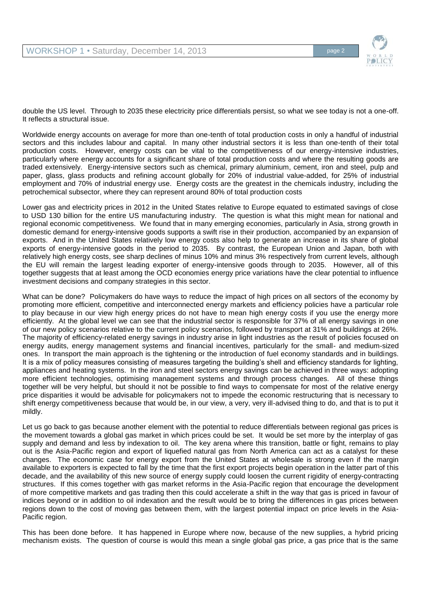

double the US level. Through to 2035 these electricity price differentials persist, so what we see today is not a one-off. It reflects a structural issue.

Worldwide energy accounts on average for more than one-tenth of total production costs in only a handful of industrial sectors and this includes labour and capital. In many other industrial sectors it is less than one-tenth of their total production costs. However, energy costs can be vital to the competitiveness of our energy-intensive industries, particularly where energy accounts for a significant share of total production costs and where the resulting goods are traded extensively. Energy-intensive sectors such as chemical, primary aluminium, cement, iron and steel, pulp and paper, glass, glass products and refining account globally for 20% of industrial value-added, for 25% of industrial employment and 70% of industrial energy use. Energy costs are the greatest in the chemicals industry, including the petrochemical subsector, where they can represent around 80% of total production costs

Lower gas and electricity prices in 2012 in the United States relative to Europe equated to estimated savings of close to USD 130 billion for the entire US manufacturing industry. The question is what this might mean for national and regional economic competitiveness. We found that in many emerging economies, particularly in Asia, strong growth in domestic demand for energy-intensive goods supports a swift rise in their production, accompanied by an expansion of exports. And in the United States relatively low energy costs also help to generate an increase in its share of global exports of energy-intensive goods in the period to 2035. By contrast, the European Union and Japan, both with relatively high energy costs, see sharp declines of minus 10% and minus 3% respectively from current levels, although the EU will remain the largest leading exporter of energy-intensive goods through to 2035. However, all of this together suggests that at least among the OCD economies energy price variations have the clear potential to influence investment decisions and company strategies in this sector.

What can be done? Policymakers do have ways to reduce the impact of high prices on all sectors of the economy by promoting more efficient, competitive and interconnected energy markets and efficiency policies have a particular role to play because in our view high energy prices do not have to mean high energy costs if you use the energy more efficiently. At the global level we can see that the industrial sector is responsible for 37% of all energy savings in one of our new policy scenarios relative to the current policy scenarios, followed by transport at 31% and buildings at 26%. The majority of efficiency-related energy savings in industry arise in light industries as the result of policies focused on energy audits, energy management systems and financial incentives, particularly for the small- and medium-sized ones. In transport the main approach is the tightening or the introduction of fuel economy standards and in buildings. It is a mix of policy measures consisting of measures targeting the building's shell and efficiency standards for lighting, appliances and heating systems. In the iron and steel sectors energy savings can be achieved in three ways: adopting more efficient technologies, optimising management systems and through process changes. All of these things together will be very helpful, but should it not be possible to find ways to compensate for most of the relative energy price disparities it would be advisable for policymakers not to impede the economic restructuring that is necessary to shift energy competitiveness because that would be, in our view, a very, very ill-advised thing to do, and that is to put it mildly.

Let us go back to gas because another element with the potential to reduce differentials between regional gas prices is the movement towards a global gas market in which prices could be set. It would be set more by the interplay of gas supply and demand and less by indexation to oil. The key arena where this transition, battle or fight, remains to play out is the Asia-Pacific region and export of liquefied natural gas from North America can act as a catalyst for these changes. The economic case for energy export from the United States at wholesale is strong even if the margin available to exporters is expected to fall by the time that the first export projects begin operation in the latter part of this decade, and the availability of this new source of energy supply could loosen the current rigidity of energy-contracting structures. If this comes together with gas market reforms in the Asia-Pacific region that encourage the development of more competitive markets and gas trading then this could accelerate a shift in the way that gas is priced in favour of indices beyond or in addition to oil indexation and the result would be to bring the differences in gas prices between regions down to the cost of moving gas between them, with the largest potential impact on price levels in the Asia-Pacific region.

This has been done before. It has happened in Europe where now, because of the new supplies, a hybrid pricing mechanism exists. The question of course is would this mean a single global gas price, a gas price that is the same